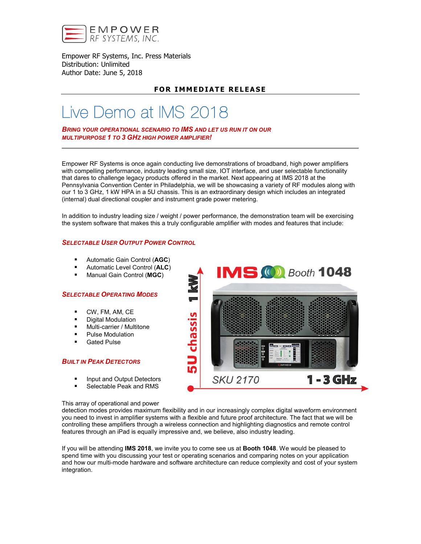

Empower RF Systems, Inc. Press Materials Distribution: Unlimited Author Date: June 5, 2018

## **FOR IMMEDIATE RELEASE**

# Live Demo at IMS 2018

*BRING YOUR OPERATIONAL SCENARIO TO IMS AND LET US RUN IT ON OUR MULTIPURPOSE 1 TO 3 GHZ HIGH POWER AMPLIFIER!*

Empower RF Systems is once again conducting live demonstrations of broadband, high power amplifiers with compelling performance, industry leading small size, IOT interface, and user selectable functionality that dares to challenge legacy products offered in the market. Next appearing at IMS 2018 at the Pennsylvania Convention Center in Philadelphia, we will be showcasing a variety of RF modules along with our 1 to 3 GHz, 1 kW HPA in a 5U chassis. This is an extraordinary design which includes an integrated (internal) dual directional coupler and instrument grade power metering.

In addition to industry leading size / weight / power performance, the demonstration team will be exercising the system software that makes this a truly configurable amplifier with modes and features that include:

#### *SELECTABLE USER OUTPUT POWER CONTROL*

- Automatic Gain Control (AGC)
- **Automatic Level Control (ALC)**
- Manual Gain Control (MGC)

#### *SELECTABLE OPERATING MODES*

- CW, FM, AM, CE
- Digital Modulation
- Multi-carrier / Multitone
- **Pulse Modulation**
- Gated Pulse

#### *BUILT IN PEAK DETECTORS*

- **Input and Output Detectors**
- Selectable Peak and RMS



#### This array of operational and power

detection modes provides maximum flexibility and in our increasingly complex digital waveform environment you need to invest in amplifier systems with a flexible and future proof architecture. The fact that we will be controlling these amplifiers through a wireless connection and highlighting diagnostics and remote control features through an iPad is equally impressive and, we believe, also industry leading.

If you will be attending IMS 2018, we invite you to come see us at Booth 1048. We would be pleased to spend time with you discussing your test or operating scenarios and comparing notes on your application and how our multi-mode hardware and software architecture can reduce complexity and cost of your system integration.